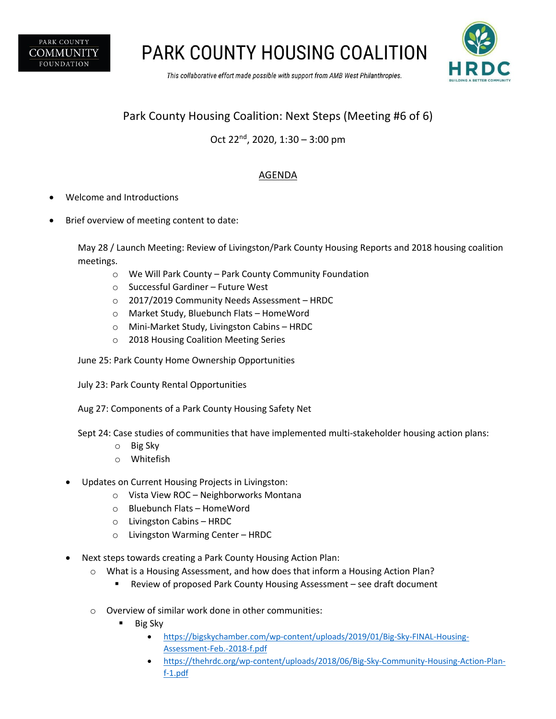

**PARK COUNTY HOUSING COALITION** 

This collaborative effort made possible with support from AMB West Philanthropies.



## Park County Housing Coalition: Next Steps (Meeting #6 of 6)

## Oct 22nd, 2020, 1:30 – 3:00 pm

## AGENDA

- Welcome and Introductions
- Brief overview of meeting content to date:

May 28 / Launch Meeting: Review of Livingston/Park County Housing Reports and 2018 housing coalition meetings.

- o We Will Park County Park County Community Foundation
- o Successful Gardiner Future West
- o 2017/2019 Community Needs Assessment HRDC
- o Market Study, Bluebunch Flats HomeWord
- o Mini-Market Study, Livingston Cabins HRDC
- o 2018 Housing Coalition Meeting Series
- June 25: Park County Home Ownership Opportunities
- July 23: Park County Rental Opportunities
- Aug 27: Components of a Park County Housing Safety Net
- Sept 24: Case studies of communities that have implemented multi-stakeholder housing action plans:
	- o Big Sky
	- o Whitefish
- Updates on Current Housing Projects in Livingston:
	- o Vista View ROC Neighborworks Montana
	- o Bluebunch Flats HomeWord
	- o Livingston Cabins HRDC
	- o Livingston Warming Center HRDC
- Next steps towards creating a Park County Housing Action Plan:
	- o What is a Housing Assessment, and how does that inform a Housing Action Plan?
		- § Review of proposed Park County Housing Assessment see draft document
	- o Overview of similar work done in other communities:
		- § Big Sky
			- https://bigskychamber.com/wp-content/uploads/2019/01/Big-Sky-FINAL-Housing-Assessment-Feb.-2018-f.pdf
			- https://thehrdc.org/wp-content/uploads/2018/06/Big-Sky-Community-Housing-Action-Planf-1.pdf